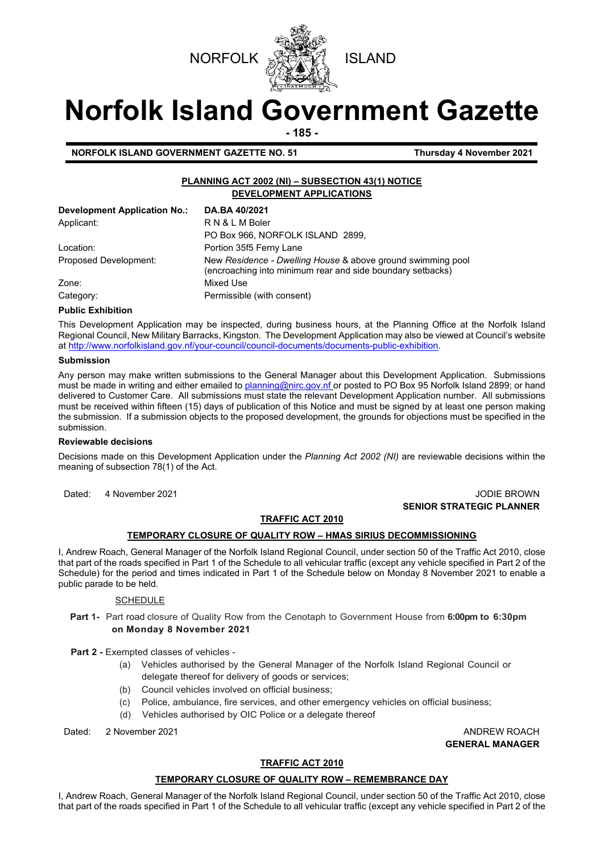



# **Norfolk Island Government Gazette**

**- 185 -**

**NORFOLK ISLAND GOVERNMENT GAZETTE NO. 51 Thursday 4 November 2021**

## **PLANNING ACT 2002 (NI) – SUBSECTION 43(1) NOTICE DEVELOPMENT APPLICATIONS**

| <b>Development Application No.:</b> | DA.BA 40/2021                                                                                                             |
|-------------------------------------|---------------------------------------------------------------------------------------------------------------------------|
| Applicant:                          | RN&LMBoler                                                                                                                |
|                                     | PO Box 966, NORFOLK ISLAND 2899,                                                                                          |
| Location:                           | Portion 35f5 Ferny Lane                                                                                                   |
| Proposed Development:               | New Residence - Dwelling House & above ground swimming pool<br>(encroaching into minimum rear and side boundary setbacks) |
| Zone:                               | Mixed Use                                                                                                                 |
| Category:                           | Permissible (with consent)                                                                                                |

#### **Public Exhibition**

This Development Application may be inspected, during business hours, at the Planning Office at the Norfolk Island Regional Council, New Military Barracks, Kingston. The Development Application may also be viewed at Council's website a[t http://www.norfolkisland.gov.nf/your-council/council-documents/documents-public-exhibition.](http://www.norfolkisland.gov.nf/your-council/council-documents/documents-public-exhibition)

#### **Submission**

Any person may make written submissions to the General Manager about this Development Application. Submissions must be made in writing and either emailed t[o planning@nirc.gov.nf](mailto:planning@nirc.gov.nf) or posted to PO Box 95 Norfolk Island 2899; or hand delivered to Customer Care. All submissions must state the relevant Development Application number. All submissions must be received within fifteen (15) days of publication of this Notice and must be signed by at least one person making the submission. If a submission objects to the proposed development, the grounds for objections must be specified in the submission.

#### **Reviewable decisions**

Decisions made on this Development Application under the *Planning Act 2002 (NI)* are reviewable decisions within the meaning of subsection 78(1) of the Act.

Dated: 4 November 2021 **Dates: 1 All 2008** Dates: 1 All 2009 **JODIE BROWN SENIOR STRATEGIC PLANNER**

## **TRAFFIC ACT 2010**

## **TEMPORARY CLOSURE OF QUALITY ROW – HMAS SIRIUS DECOMMISSIONING**

I, Andrew Roach, General Manager of the Norfolk Island Regional Council, under section 50 of the Traffic Act 2010, close that part of the roads specified in Part 1 of the Schedule to all vehicular traffic (except any vehicle specified in Part 2 of the Schedule) for the period and times indicated in Part 1 of the Schedule below on Monday 8 November 2021 to enable a public parade to be held.

## SCHEDULE

**Part 1-** Part road closure of Quality Row from the Cenotaph to Government House from **6:00pm to 6:30pm on Monday 8 November 2021**

**Part 2 -** Exempted classes of vehicles -

- (a) Vehicles authorised by the General Manager of the Norfolk Island Regional Council or delegate thereof for delivery of goods or services;
- (b) Council vehicles involved on official business;
- (c) Police, ambulance, fire services, and other emergency vehicles on official business;
- (d) Vehicles authorised by OIC Police or a delegate thereof

Dated: 2 November 2021 ANDREW ROACH

**GENERAL MANAGER**

## **TRAFFIC ACT 2010**

## **TEMPORARY CLOSURE OF QUALITY ROW – REMEMBRANCE DAY**

I, Andrew Roach, General Manager of the Norfolk Island Regional Council, under section 50 of the Traffic Act 2010, close that part of the roads specified in Part 1 of the Schedule to all vehicular traffic (except any vehicle specified in Part 2 of the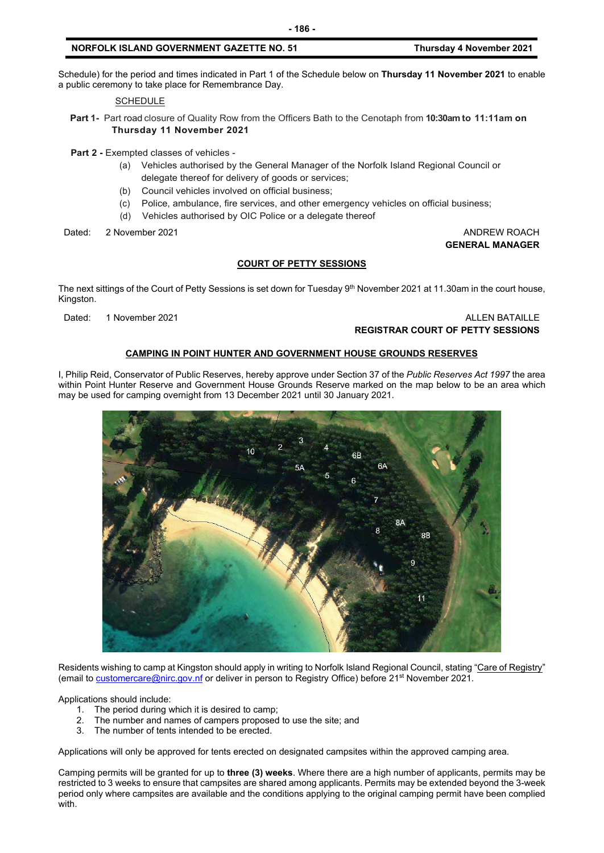## **NORFOLK ISLAND GOVERNMENT GAZETTE NO. 51 Thursday 4 November 2021**

Schedule) for the period and times indicated in Part 1 of the Schedule below on **Thursday 11 November 2021** to enable a public ceremony to take place for Remembrance Day.

**SCHEDULE** 

**Part 1-** Part road closure of Quality Row from the Officers Bath to the Cenotaph from **10:30am to 11:11am on Thursday 11 November 2021**

**Part 2 -** Exempted classes of vehicles -

- (a) Vehicles authorised by the General Manager of the Norfolk Island Regional Council or delegate thereof for delivery of goods or services;
- (b) Council vehicles involved on official business;
- (c) Police, ambulance, fire services, and other emergency vehicles on official business;
- (d) Vehicles authorised by OIC Police or a delegate thereof

Dated: 2 November 2021 ANDREW ROACH

**GENERAL MANAGER**

## **COURT OF PETTY SESSIONS**

The next sittings of the Court of Petty Sessions is set down for Tuesday 9<sup>th</sup> November 2021 at 11.30am in the court house, Kingston.

## Dated: 1 November 2021 ALLEN BATAILLE **REGISTRAR COURT OF PETTY SESSIONS**

## **CAMPING IN POINT HUNTER AND GOVERNMENT HOUSE GROUNDS RESERVES**

I, Philip Reid, Conservator of Public Reserves, hereby approve under Section 37 of the *Public Reserves Act 1997* the area within Point Hunter Reserve and Government House Grounds Reserve marked on the map below to be an area which may be used for camping overnight from 13 December 2021 until 30 January 2021.



Residents wishing to camp at Kingston should apply in writing to Norfolk Island Regional Council, stating "Care of Registry" (email t[o customercare@nirc.gov.nf](mailto:customercare@nirc.gov.nf) or deliver in person to Registry Office) before 21<sup>st</sup> November 2021.

Applications should include:

- 
- 1. The period during which it is desired to camp;<br>2. The number and names of campers proposed 2. The number and names of campers proposed to use the site; and 3. The number of tents intended to be erected.
- The number of tents intended to be erected.

Applications will only be approved for tents erected on designated campsites within the approved camping area.

Camping permits will be granted for up to **three (3) weeks**. Where there are a high number of applicants, permits may be restricted to 3 weeks to ensure that campsites are shared among applicants. Permits may be extended beyond the 3-week period only where campsites are available and the conditions applying to the original camping permit have been complied with.